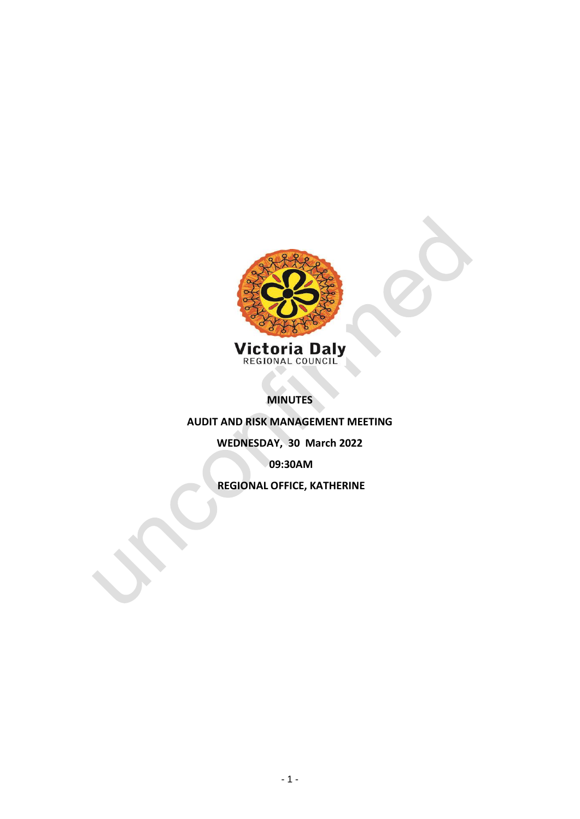

**MINUTES** 

**AUDIT AND RISK MANAGEMENT MEETING**

**WEDNESDAY, 30 March 2022**

**09:30AM**

**REGIONAL OFFICE, KATHERINE**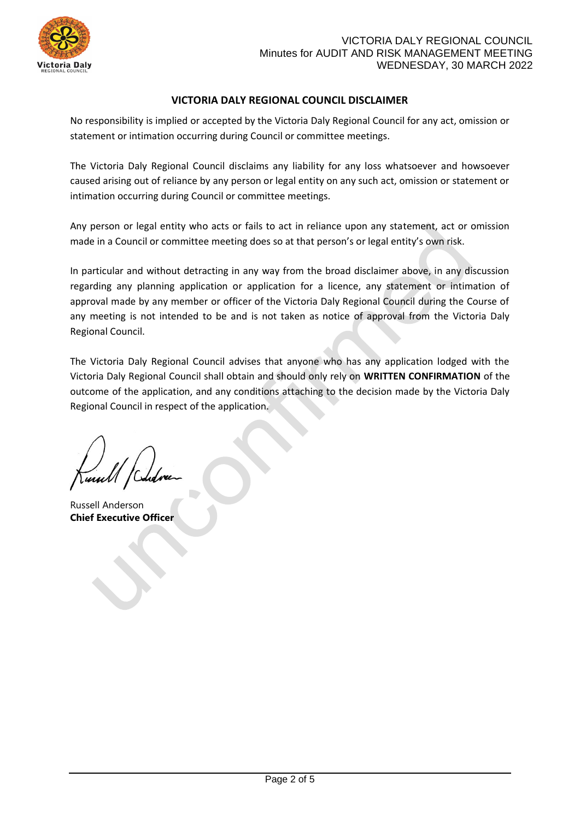

# **VICTORIA DALY REGIONAL COUNCIL DISCLAIMER**

No responsibility is implied or accepted by the Victoria Daly Regional Council for any act, omission or statement or intimation occurring during Council or committee meetings.

The Victoria Daly Regional Council disclaims any liability for any loss whatsoever and howsoever caused arising out of reliance by any person or legal entity on any such act, omission or statement or intimation occurring during Council or committee meetings.

Any person or legal entity who acts or fails to act in reliance upon any statement, act or omission made in a Council or committee meeting does so at that person's or legal entity's own risk.

In particular and without detracting in any way from the broad disclaimer above, in any discussion regarding any planning application or application for a licence, any statement or intimation of approval made by any member or officer of the Victoria Daly Regional Council during the Course of any meeting is not intended to be and is not taken as notice of approval from the Victoria Daly Regional Council.

The Victoria Daly Regional Council advises that anyone who has any application lodged with the Victoria Daly Regional Council shall obtain and should only rely on **WRITTEN CONFIRMATION** of the outcome of the application, and any conditions attaching to the decision made by the Victoria Daly Regional Council in respect of the application.

Russell Anderson **Chief Executive Officer**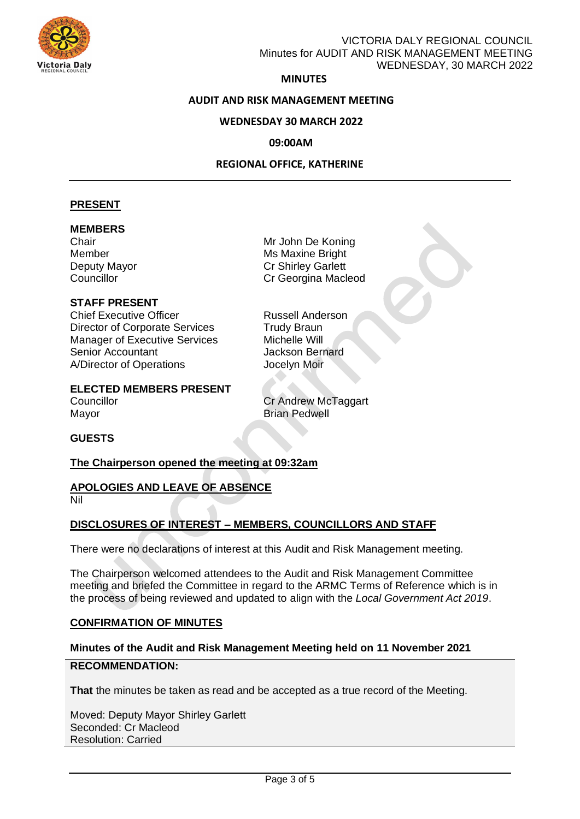

# VICTORIA DALY REGIONAL COUNCIL Minutes for AUDIT AND RISK MANAGEMENT MEETING WEDNESDAY, 30 MARCH 2022

### **MINUTES**

### **AUDIT AND RISK MANAGEMENT MEETING**

### **WEDNESDAY 30 MARCH 2022**

### **09:00AM**

### **REGIONAL OFFICE, KATHERINE**

### **PRESENT**

### **MEMBERS**

# **STAFF PRESENT**

Chief Executive Officer **Russell Anderson** Director of Corporate Services<br>
Manager of Executive Services<br>
Michelle Will Manager of Executive Services Senior Accountant **Senior** Jackson Bernard A/Director of Operations **Jocelyn Moir** 

Chair Mr John De Koning Member Member Music Maxine Bright Deputy Mayor Cr Shirley Garlett Councillor Councillor Councillor Councillor

**ELECTED MEMBERS PRESENT**  Councillor Councillor Cr Andrew McTaggart

Mayor **Brian Pedwell** 

### **GUESTS**

### **The Chairperson opened the meeting at 09:32am**

#### **APOLOGIES AND LEAVE OF ABSENCE**  Nil

### **DISCLOSURES OF INTEREST – MEMBERS, COUNCILLORS AND STAFF**

There were no declarations of interest at this Audit and Risk Management meeting.

The Chairperson welcomed attendees to the Audit and Risk Management Committee meeting and briefed the Committee in regard to the ARMC Terms of Reference which is in the process of being reviewed and updated to align with the *Local Government Act 2019*.

### **CONFIRMATION OF MINUTES**

### **Minutes of the Audit and Risk Management Meeting held on 11 November 2021**

### **RECOMMENDATION:**

**That** the minutes be taken as read and be accepted as a true record of the Meeting.

Moved: Deputy Mayor Shirley Garlett Seconded: Cr Macleod Resolution: Carried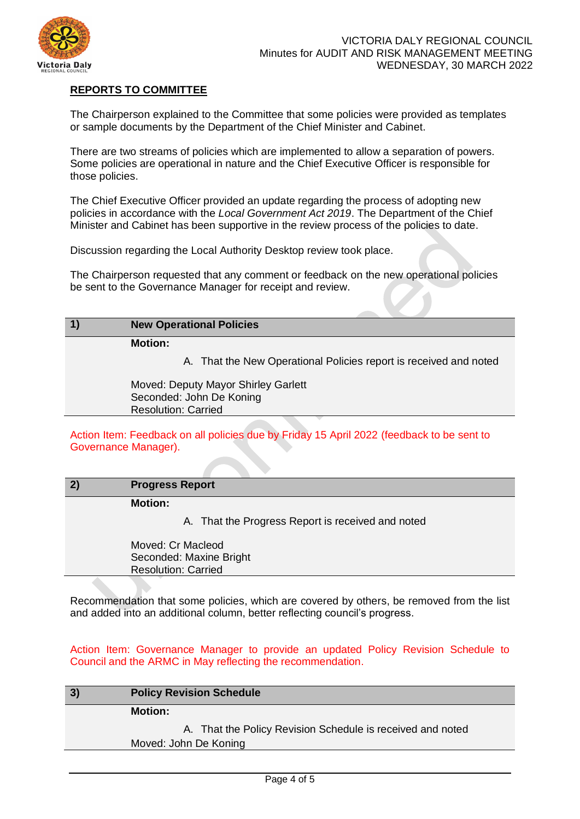

# **REPORTS TO COMMITTEE**

The Chairperson explained to the Committee that some policies were provided as templates or sample documents by the Department of the Chief Minister and Cabinet.

There are two streams of policies which are implemented to allow a separation of powers. Some policies are operational in nature and the Chief Executive Officer is responsible for those policies.

The Chief Executive Officer provided an update regarding the process of adopting new policies in accordance with the *Local Government Act 2019*. The Department of the Chief Minister and Cabinet has been supportive in the review process of the policies to date.

Discussion regarding the Local Authority Desktop review took place.

The Chairperson requested that any comment or feedback on the new operational policies be sent to the Governance Manager for receipt and review.

### **1) New Operational Policies**

**Motion:**

A. That the New Operational Policies report is received and noted

Moved: Deputy Mayor Shirley Garlett Seconded: John De Koning Resolution: Carried

Action Item: Feedback on all policies due by Friday 15 April 2022 (feedback to be sent to Governance Manager).

| 2) | <b>Progress Report</b> |  |
|----|------------------------|--|
|----|------------------------|--|

**Motion:**

A. That the Progress Report is received and noted

Moved: Cr Macleod Seconded: Maxine Bright Resolution: Carried

Recommendation that some policies, which are covered by others, be removed from the list and added into an additional column, better reflecting council's progress.

Action Item: Governance Manager to provide an updated Policy Revision Schedule to Council and the ARMC in May reflecting the recommendation.

| 3) | <b>Policy Revision Schedule</b>                            |
|----|------------------------------------------------------------|
|    | <b>Motion:</b>                                             |
|    | A. That the Policy Revision Schedule is received and noted |
|    | Moved: John De Koning                                      |
|    |                                                            |